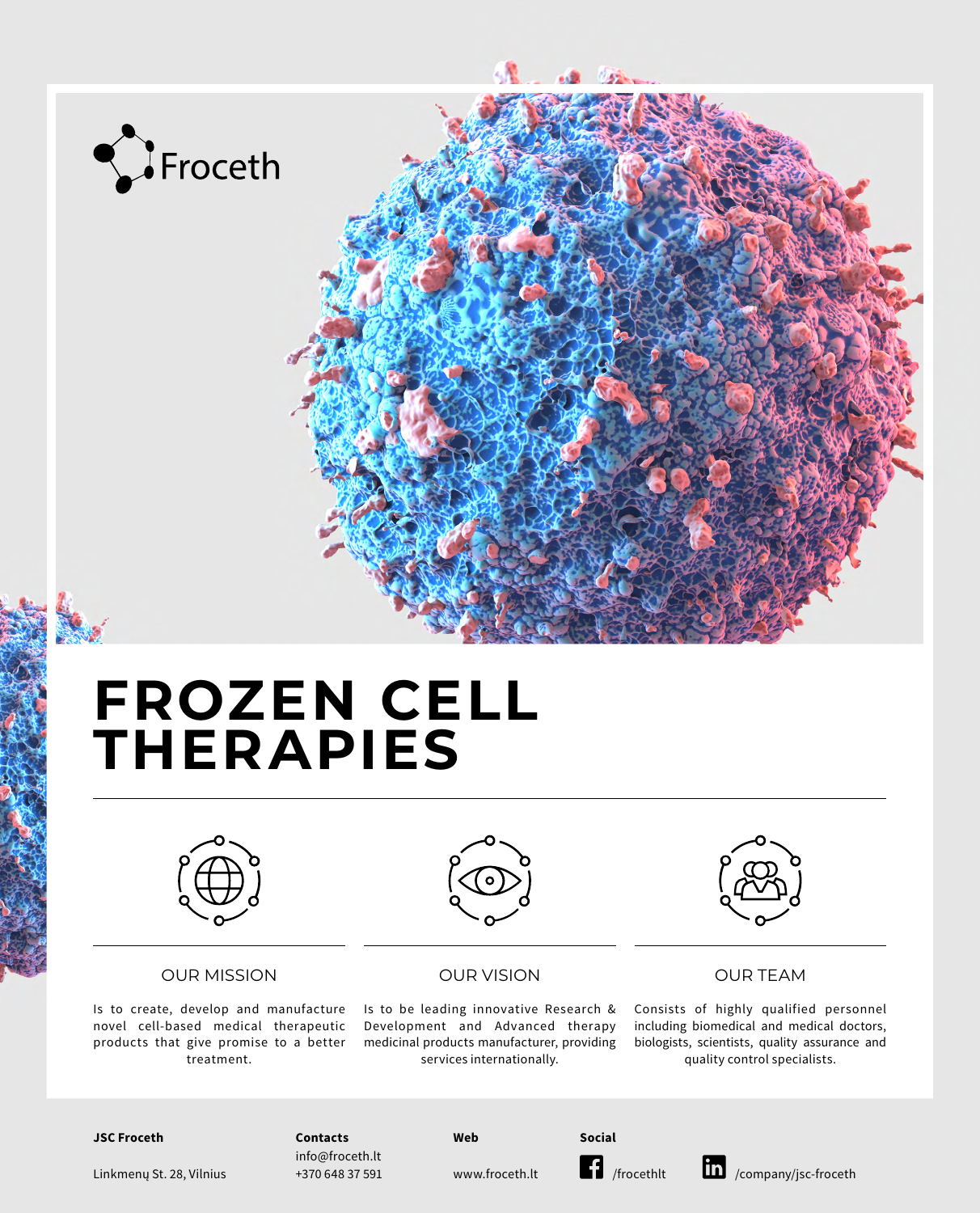

# **FROZEN CELL THERAPIES**



### OUR MISSION

Is to create, develop and manufacture novel cell-based medical therapeutic products that give promise to a better treatment.



#### OUR VISION

Is to be leading innovative Research & Development and Advanced therapy medicinal products manufacturer, providing services internationally.



#### OUR TEAM

Consists of highly qualified personnel including biomedical and medical doctors, biologists, scientists, quality assurance and quality control specialists.

**JSC Froceth**

Linkmenų St. 28, Vilnius

**Contacts** info@froceth.lt +370 648 37 591 **Web**

www.froceth.lt



**Social**